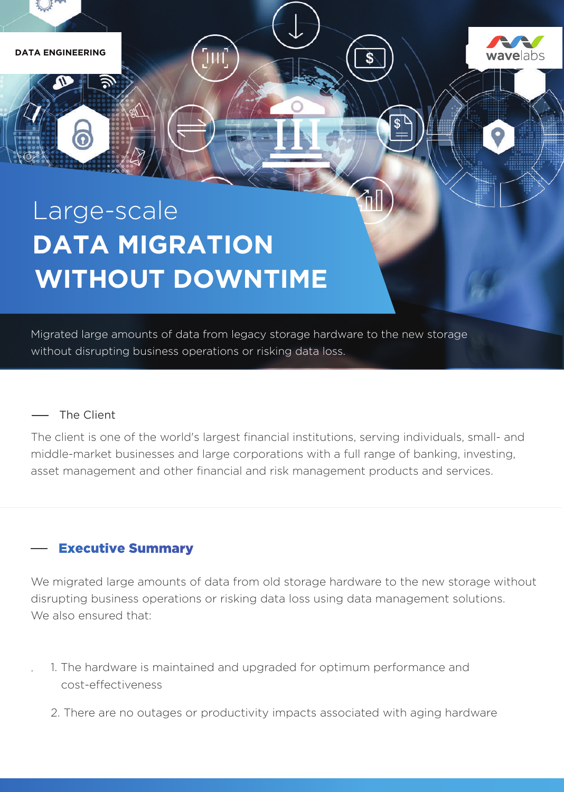

# Large-scale **DATA MIGRATION WITHOUT DOWNTIME**

Migrated large amounts of data from legacy storage hardware to the new storage without disrupting business operations or risking data loss.

#### The Client

The client is one of the world's largest financial institutions, serving individuals, small- and middle-market businesses and large corporations with a full range of banking, investing, asset management and other financial and risk management products and services.

# **Executive Summary**

We migrated large amounts of data from old storage hardware to the new storage without disrupting business operations or risking data loss using data management solutions. We also ensured that:

- · 1. The hardware is maintained and upgraded for optimum performance and cost-effectiveness
	- 2. There are no outages or productivity impacts associated with aging hardware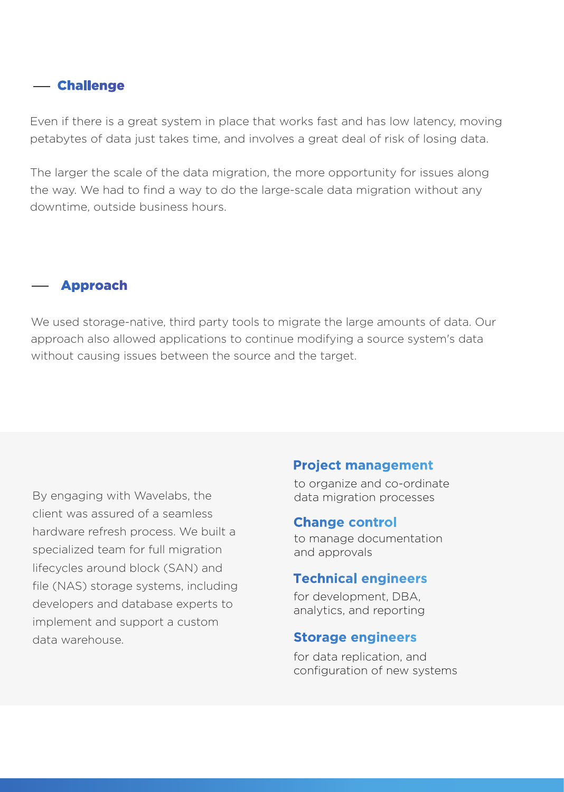# - Challenge

Even if there is a great system in place that works fast and has low latency, moving petabytes of data just takes time, and involves a great deal of risk of losing data.

The larger the scale of the data migration, the more opportunity for issues along the way. We had to find a way to do the large-scale data migration without any downtime, outside business hours.

#### - Approach

We used storage-native, third party tools to migrate the large amounts of data. Our approach also allowed applications to continue modifying a source system's data without causing issues between the source and the target.

By engaging with Wavelabs, the client was assured of a seamless hardware refresh process. We built a specialized team for full migration lifecycles around block (SAN) and file (NAS) storage systems, including developers and database experts to implement and support a custom data warehouse.

#### **Project management**

to organize and co-ordinate data migration processes

#### **Change control**

to manage documentation and approvals

#### **Technical engineers**

for development, DBA, analytics, and reporting

#### **Storage engineers**

for data replication, and configuration of new systems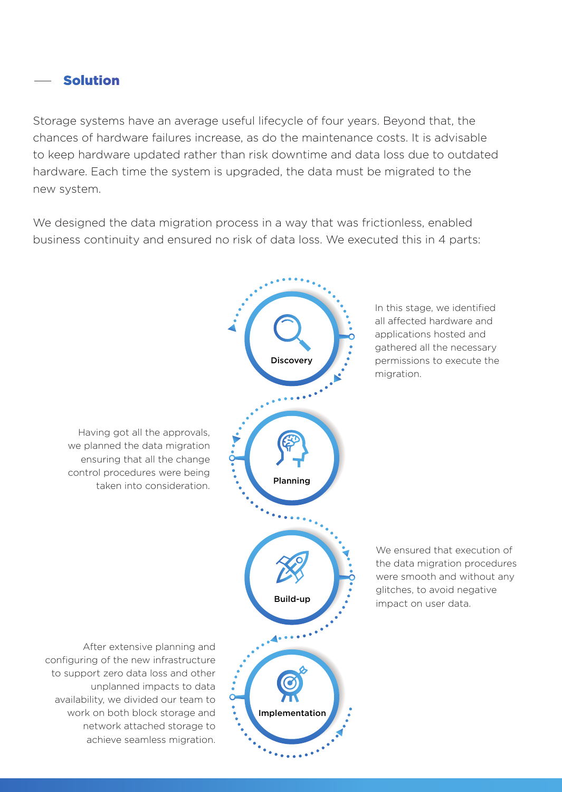### **Solution**

Storage systems have an average useful lifecycle of four years. Beyond that, the chances of hardware failures increase, as do the maintenance costs. It is advisable to keep hardware updated rather than risk downtime and data loss due to outdated hardware. Each time the system is upgraded, the data must be migrated to the new system.

We designed the data migration process in a way that was frictionless, enabled business continuity and ensured no risk of data loss. We executed this in 4 parts:

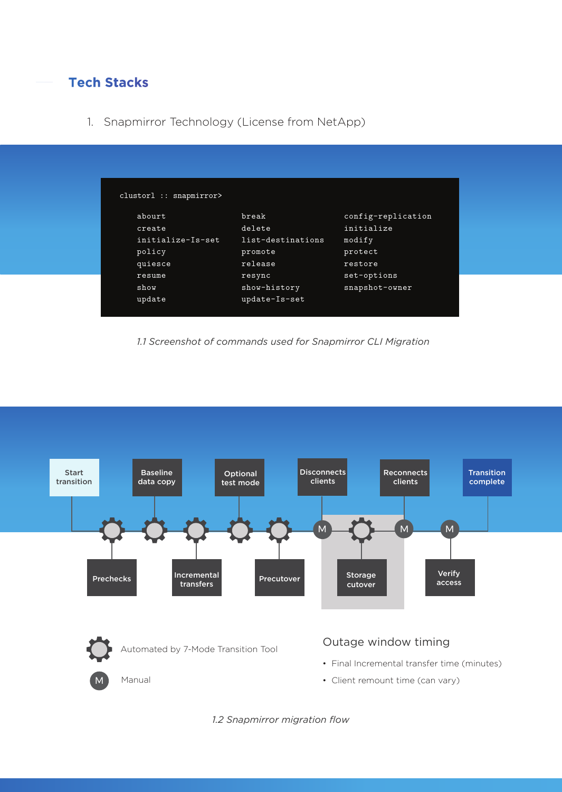# **Tech Stacks**

1. Snapmirror Technology (License from NetApp)

| break             | config-replication |
|-------------------|--------------------|
| delete            | initialize         |
| list-destinations | modify             |
| promote           | protect            |
| release           | restore            |
| resync            | set-options        |
| show-history      | snapshot-owner     |
| update-Is-set     |                    |
|                   |                    |

*1.1 Screenshot of commands used for Snapmirror CLI Migration*



*1.2 Snapmirror migration flow*